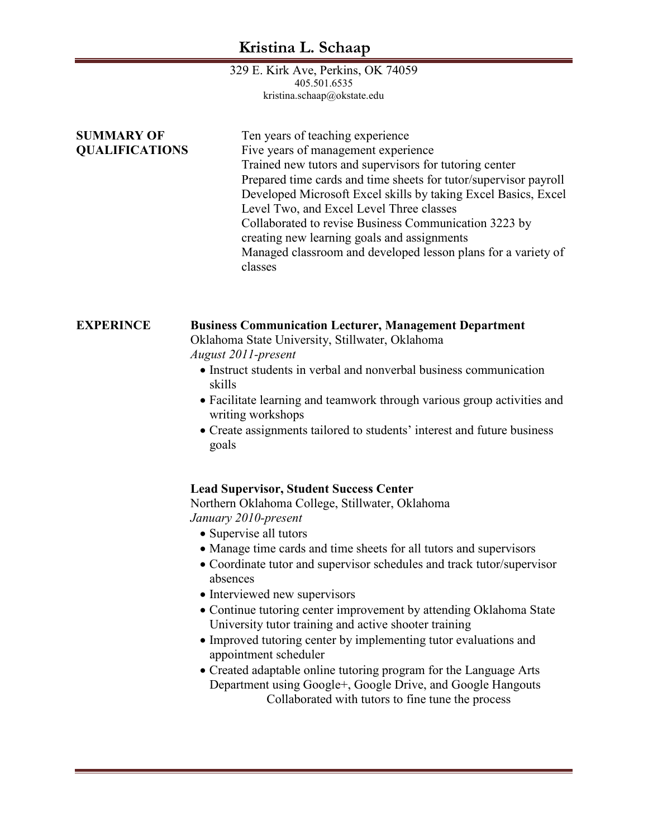329 E. Kirk Ave, Perkins, OK 74059 405.501.6535 kristina.schaap@okstate.edu

| <b>SUMMARY OF</b><br><b>QUALIFICATIONS</b> | Ten years of teaching experience<br>Five years of management experience<br>Trained new tutors and supervisors for tutoring center<br>Prepared time cards and time sheets for tutor/supervisor payroll<br>Developed Microsoft Excel skills by taking Excel Basics, Excel<br>Level Two, and Excel Level Three classes<br>Collaborated to revise Business Communication 3223 by<br>creating new learning goals and assignments<br>Managed classroom and developed lesson plans for a variety of<br>classes                                                                      |
|--------------------------------------------|------------------------------------------------------------------------------------------------------------------------------------------------------------------------------------------------------------------------------------------------------------------------------------------------------------------------------------------------------------------------------------------------------------------------------------------------------------------------------------------------------------------------------------------------------------------------------|
| <b>EXPERINCE</b>                           | <b>Business Communication Lecturer, Management Department</b><br>Oklahoma State University, Stillwater, Oklahoma<br>August 2011-present<br>• Instruct students in verbal and nonverbal business communication<br>skills<br>• Facilitate learning and teamwork through various group activities and<br>writing workshops<br>• Create assignments tailored to students' interest and future business<br>goals                                                                                                                                                                  |
|                                            | <b>Lead Supervisor, Student Success Center</b><br>Northern Oklahoma College, Stillwater, Oklahoma<br>January 2010-present<br>• Supervise all tutors<br>• Manage time cards and time sheets for all tutors and supervisors<br>• Coordinate tutor and supervisor schedules and track tutor/supervisor<br>absences<br>• Interviewed new supervisors<br>• Continue tutoring center improvement by attending Oklahoma State<br>University tutor training and active shooter training<br>• Improved tutoring center by implementing tutor evaluations and<br>appointment scheduler |

• Created adaptable online tutoring program for the Language Arts Department using Google+, Google Drive, and Google Hangouts Collaborated with tutors to fine tune the process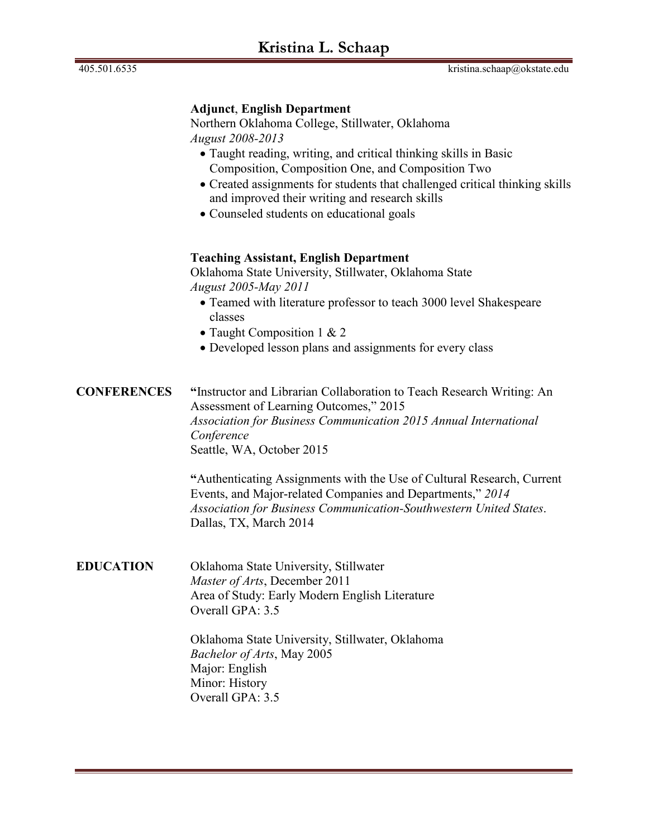## **Adjunct**, **English Department**

Northern Oklahoma College, Stillwater, Oklahoma *August 2008-2013*

- Taught reading, writing, and critical thinking skills in Basic Composition, Composition One, and Composition Two
- Created assignments for students that challenged critical thinking skills and improved their writing and research skills
- Counseled students on educational goals

## **Teaching Assistant, English Department**

Oklahoma State University, Stillwater, Oklahoma State *August 2005-May 2011*

- Teamed with literature professor to teach 3000 level Shakespeare classes
- Taught Composition 1 & 2
- Developed lesson plans and assignments for every class

**CONFERENCES "**Instructor and Librarian Collaboration to Teach Research Writing: An Assessment of Learning Outcomes," 2015 *Association for Business Communication 2015 Annual International Conference* Seattle, WA, October 2015

> **"**Authenticating Assignments with the Use of Cultural Research, Current Events, and Major-related Companies and Departments," *2014 Association for Business Communication-Southwestern United States*. Dallas, TX, March 2014

**EDUCATION** Oklahoma State University, Stillwater *Master of Arts*, December 2011 Area of Study: Early Modern English Literature Overall GPA: 3.5

> Oklahoma State University, Stillwater, Oklahoma *Bachelor of Arts*, May 2005 Major: English Minor: History Overall GPA: 3.5